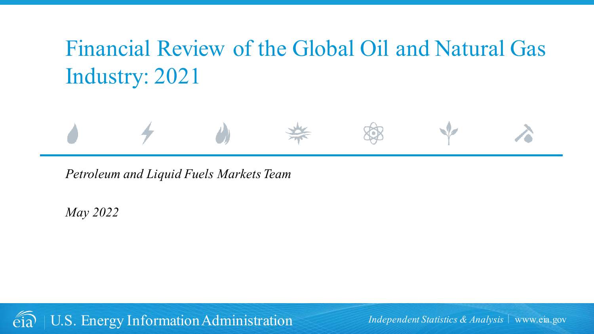# Financial Review of the Global Oil and Natural Gas Industry: 2021



*May 2022*

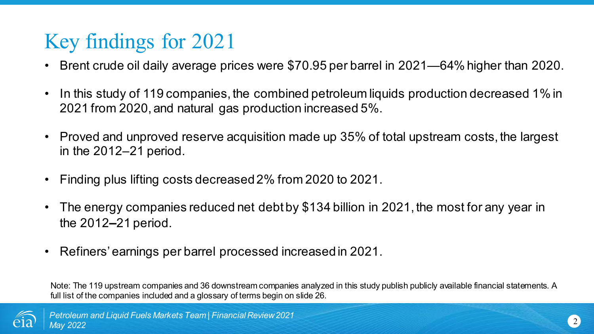## Key findings for 2021

- Brent crude oil daily average prices were \$70.95 per barrel in 2021—64% higher than 2020.
- In this study of 119 companies, the combined petroleum liquids production decreased 1% in 2021 from 2020, and natural gas production increased 5%.
- Proved and unproved reserve acquisition made up 35% of total upstream costs, the largest in the 2012–21 period.
- Finding plus lifting costs decreased 2% from 2020 to 2021.
- The energy companies reduced net debt by \$134 billion in 2021, the most for any year in the 2012**–**21 period.
- Refiners' earnings per barrel processed increased in 2021.

Note: The 119 upstream companies and 36 downstream companies analyzed in this study publish publicly available financial statements. A full list of the companies included and a glossary of terms begin on slide 26.

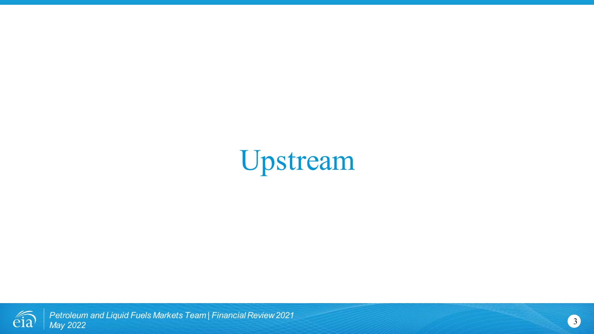Upstream

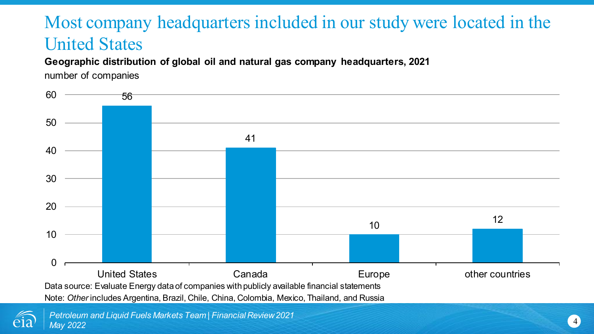### Most company headquarters included in our study were located in the United States

**Geographic distribution of global oil and natural gas company headquarters, 2021**

number of companies



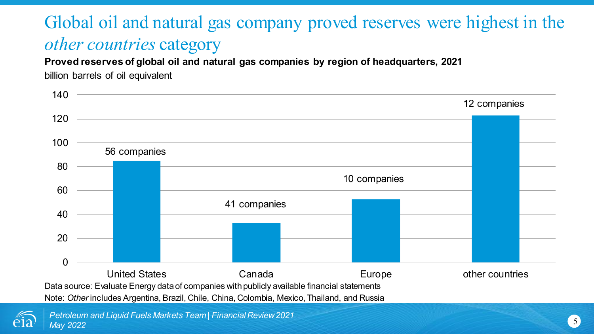### Global oil and natural gas company proved reserves were highest in the *other countries* category

**Proved reserves of global oil and natural gas companies by region of headquarters, 2021**

billion barrels of oil equivalent



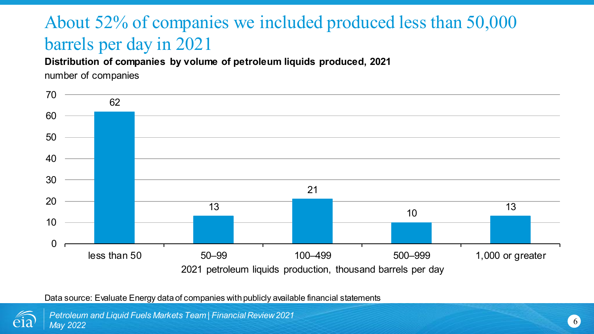## About 52% of companies we included produced less than 50,000 barrels per day in 2021

**Distribution of companies by volume of petroleum liquids produced, 2021**

number of companies



Data source: Evaluate Energy data of companies with publicly available financial statements



*Petroleum and Liquid Fuels Markets Team | Financial Review 2021 May 2022*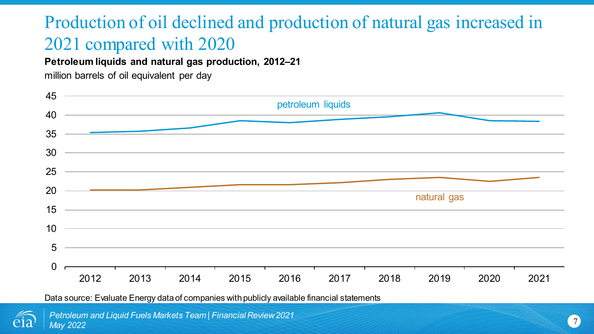### Production of oil declined and production of natural gas increased in 2021 compared with 2020

**Petroleum liquids and natural gas production, 2012–21**

million barrels of oil equivalent per day



Data source: Evaluate Energy data of companies with publicly available financial statements

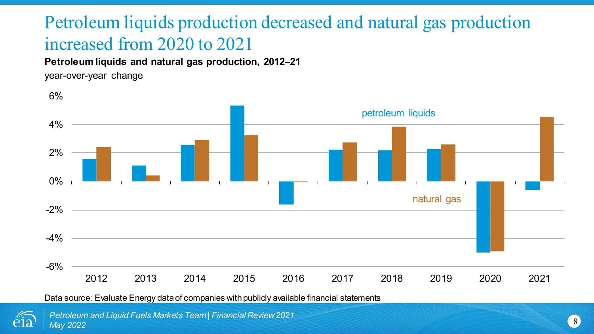### Petroleum liquids production decreased and natural gas production increased from 2020 to 2021

#### **Petroleum liquids and natural gas production, 2012–21**

year-over-year change





*Petroleum and Liquid Fuels Markets Team | Financial Review 2021 May 2022*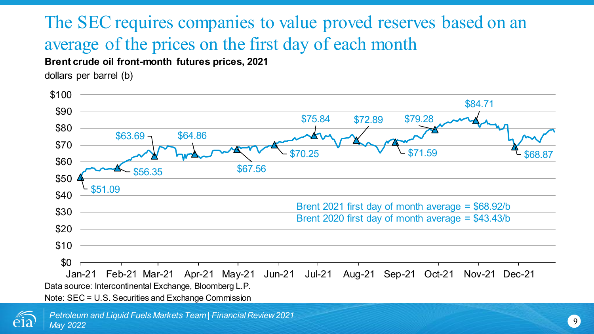## The SEC requires companies to value proved reserves based on an average of the prices on the first day of each month

**Brent crude oil front-month futures prices, 2021**

dollars per barrel (b)



Note: SEC = U.S. Securities and Exchange Commission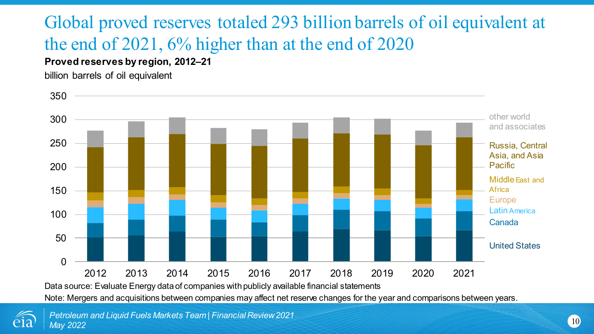## Global proved reserves totaled 293 billion barrels of oil equivalent at the end of 2021, 6% higher than at the end of 2020

#### **Proved reserves by region, 2012–21**

billion barrels of oil equivalent



Note: Mergers and acquisitions between companies may affect net reserve changes for the year and comparisons between years.

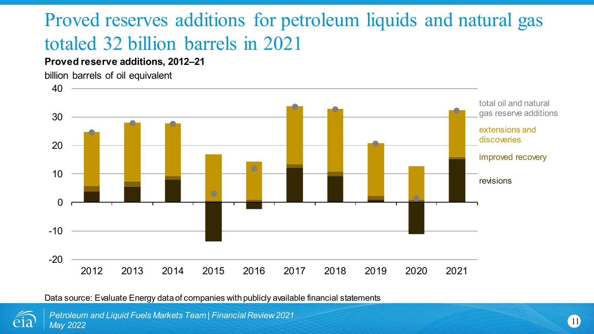## Proved reserves additions for petroleum liquids and natural gas totaled 32 billion barrels in 2021

#### **Proved reserve additions, 2012–21**



Data source: Evaluate Energy data of companies with publicly available financial statements



*Petroleum and Liquid Fuels Markets Team | Financial Review 2021 May 2022*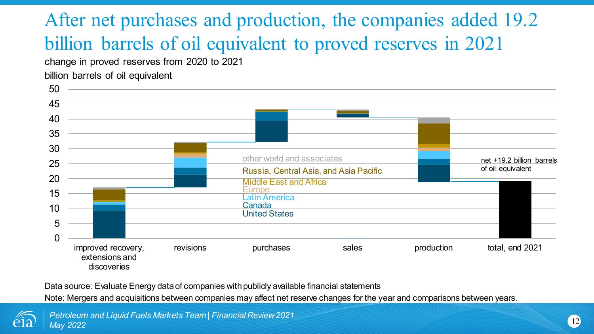## After net purchases and production, the companies added 19.2 billion barrels of oil equivalent to proved reserves in 2021

change in proved reserves from 2020 to 2021

billion barrels of oil equivalent



Data source: Evaluate Energy data of companies with publicly available financial statements

Note: Mergers and acquisitions between companies may affect net reserve changes for the year and comparisons between years.

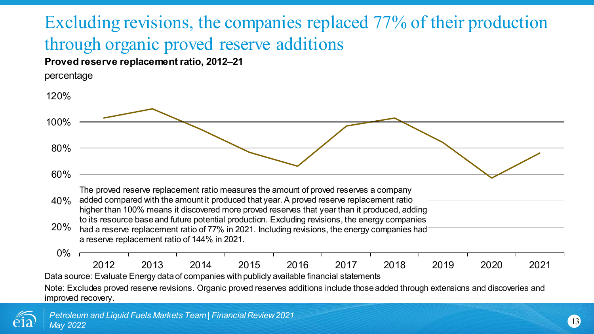## Excluding revisions, the companies replaced 77% of their production through organic proved reserve additions

#### **Proved reserve replacement ratio, 2012–21**

percentage



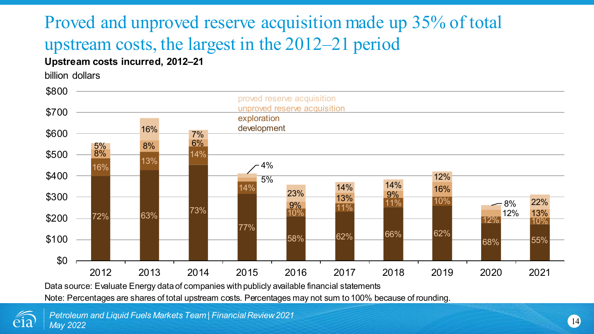## Proved and unproved reserve acquisition made up 35% of total upstream costs, the largest in the 2012–21 period

#### **Upstream costs incurred, 2012–21**

billion dollars



Data source: Evaluate Energy data of companies with publicly available financial statements

Note: Percentages are shares of total upstream costs. Percentages may not sum to 100% because of rounding.

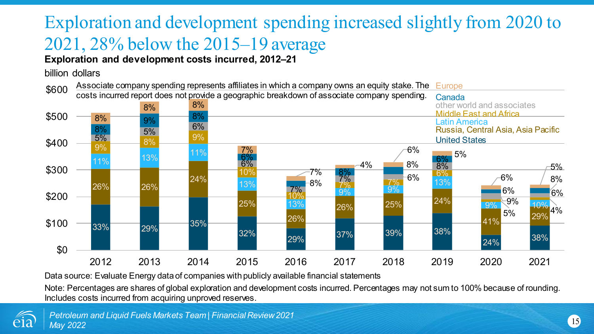## Exploration and development spending increased slightly from 2020 to 2021, 28% below the 2015–19 average

#### **Exploration and development costs incurred, 2012–21**

#### billion dollars



Data source: Evaluate Energy data of companies with publicly available financial statements

Note: Percentages are shares of global exploration and development costs incurred. Percentages may not sum to 100% because of rounding. Includes costs incurred from acquiring unproved reserves.

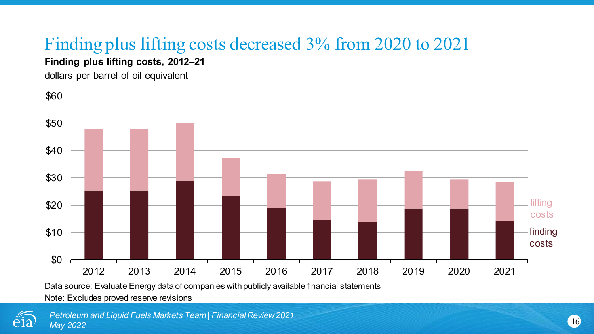## Finding plus lifting costs decreased 3% from 2020 to 2021

**Finding plus lifting costs, 2012–21**

dollars per barrel of oil equivalent



Data source: Evaluate Energy data of companies with publicly available financial statements

Note: Excludes proved reserve revisions

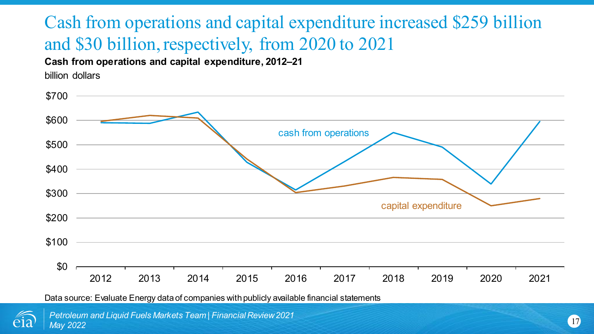### Cash from operations and capital expenditure increased \$259 billion and \$30 billion, respectively, from 2020 to 2021

**Cash from operations and capital expenditure, 2012–21**

billion dollars



Data source: Evaluate Energy data of companies with publicly available financial statements

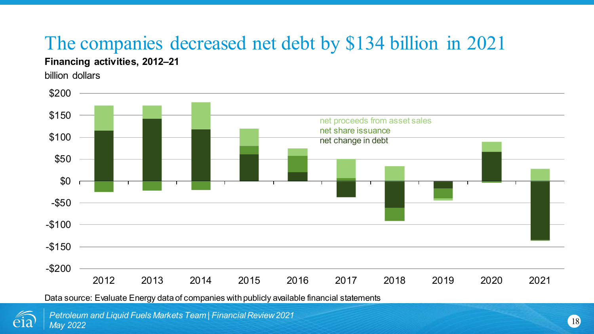## The companies decreased net debt by \$134 billion in 2021

#### **Financing activities, 2012–21**

billion dollars



Data source: Evaluate Energy data of companies with publicly available financial statements



*Petroleum and Liquid Fuels Markets Team | Financial Review 2021 May 2022*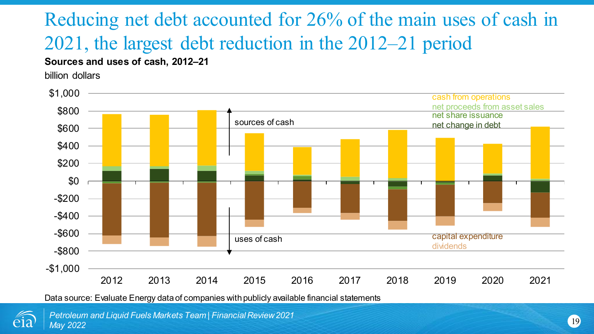## Reducing net debt accounted for 26% of the main uses of cash in 2021, the largest debt reduction in the 2012–21 period

#### **Sources and uses of cash, 2012–21**

billion dollars



Data source: Evaluate Energy data of companies with publicly available financial statements

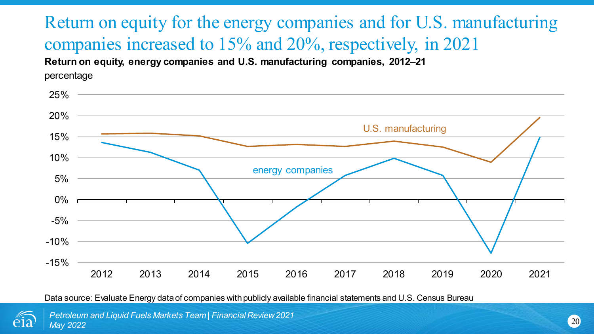**Return on equity, energy companies and U.S. manufacturing companies, 2012–21** Return on equity for the energy companies and for U.S. manufacturing companies increased to 15% and 20%, respectively, in 2021

percentage



Data source: Evaluate Energy data of companies with publicly available financial statements and U.S. Census Bureau



*Petroleum and Liquid Fuels Markets Team | Financial Review 2021 May 2022*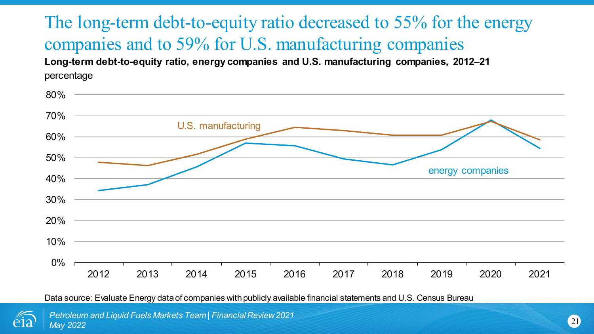**Long-term debt-to-equity ratio, energy companies and U.S. manufacturing companies, 2012–21** percentage The long-term debt-to-equity ratio decreased to 55% for the energy companies and to 59% for U.S. manufacturing companies

| 80% |      |      |                    |      |      |      |      |      |                  |      |
|-----|------|------|--------------------|------|------|------|------|------|------------------|------|
| 70% |      |      |                    |      |      |      |      |      |                  |      |
| 60% |      |      | U.S. manufacturing |      |      |      |      |      |                  |      |
| 50% |      |      |                    |      |      |      |      |      |                  |      |
| 40% |      |      |                    |      |      |      |      |      | energy companies |      |
| 30% |      |      |                    |      |      |      |      |      |                  |      |
| 20% |      |      |                    |      |      |      |      |      |                  |      |
| 10% |      |      |                    |      |      |      |      |      |                  |      |
| 0%  |      |      |                    |      |      |      |      |      |                  |      |
|     | 2012 | 2013 | 2014               | 2015 | 2016 | 2017 | 2018 | 2019 | 2020             | 2021 |

Data source: Evaluate Energy data of companies with publicly available financial statements and U.S. Census Bureau



*Petroleum and Liquid Fuels Markets Team | Financial Review 2021 May 2022*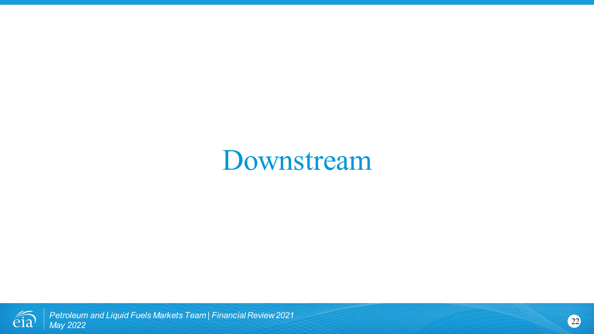# Downstream

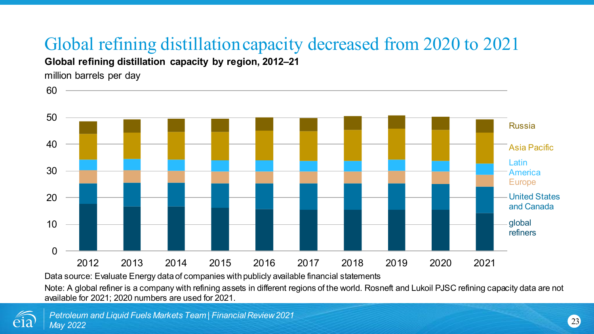## Global refining distillation capacity decreased from 2020 to 2021

**Global refining distillation capacity by region, 2012–21**

million barrels per day

60



Data source: Evaluate Energy data of companies with publicly available financial statements

Note: A global refiner is a company with refining assets in different regions of the world. Rosneft and Lukoil PJSC refining capacity data are not available for 2021; 2020 numbers are used for 2021.

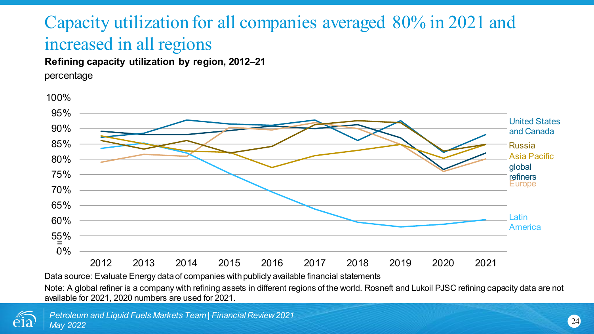### Capacity utilization for all companies averaged 80% in 2021 and increased in all regions

**Refining capacity utilization by region, 2012–21**

percentage



Data source: Evaluate Energy data of companies with publicly available financial statements

Note: A global refiner is a company with refining assets in different regions of the world. Rosneft and Lukoil PJSC refining capacity data are not available for 2021, 2020 numbers are used for 2021.

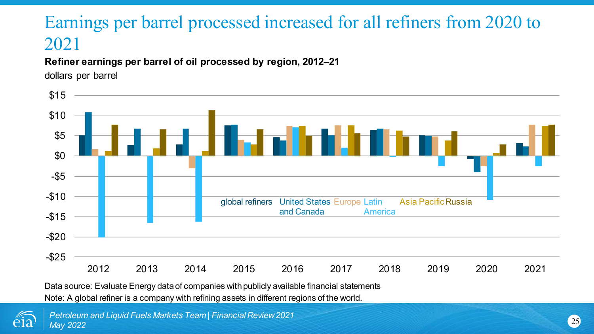### Earnings per barrel processed increased for all refiners from 2020 to 2021

#### **Refiner earnings per barrel of oil processed by region, 2012–21**

dollars per barrel



Data source: Evaluate Energy data of companies with publicly available financial statements

Note: A global refiner is a company with refining assets in different regions of the world.

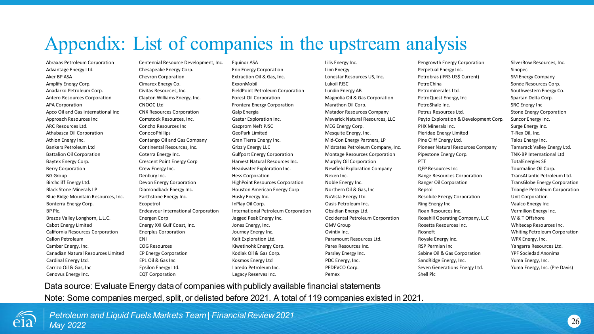## Appendix: List of companies in the upstream analysis

Advantage Energy Ltd. Chesapeake Energy Corp. Erin Energy Corporation Linn Energy Perpetual Energy Inc. Sinopec Aker BP ASA Chevron Corporation Extraction Oil & Gas, Inc. Lonestar Resources US, Inc. Petrobras (IFRS US\$ Current) SM Energy Company Amplify Energy Corp. Cimarex Energy Co. etc. Corp. ExxonMobil Lukoil PJSC PetroChina PetroChina Sonde Resources Corp. Anadarko Petroleum Corp. Civitas Resources, Inc. FieldPoint Petroleum Corporation Lundin Energy AB Petrominerales Ltd. Southwestern Energy Co. Antero Resources Corporation Clayton Williams Energy, Inc. Forest Oil Corporation Magnolia Oil & Gas Corporation PetroQuest Energy, Inc Spartan Delta Corp. APA Corporation **CNOOC Ltd** Frontera Energy Corporation Marathon Oil Corp. PetroShale Inc. SRC Energy Inc SRC Energy Inc Apco Oil and Gas International Inc CNX Resources Corporation Galp Energia Company Matador Resources Company Petrus Resources Ltd. Stone Energy Corporation Approach Resources Inc Comstock Resources, Inc. Gastar Exploration Inc. Maverick Natural Resources, LLC Peyto Exploration & Development Corp. Suncor Energy Inc. ARC Resources Ltd. Concho Resources Inc Gazprom Neft PJSC MEG Energy Corp. PHX Minerals Inc. Surge Energy Inc. Athabasca Oil Corporation ConocoPhillips GeoPark Limited Mesquite Energy, Inc. Pieridae Energy Limited T-Rex Oil, Inc. Athlon Energy Inc. **Example 2** Contango Oil and Gas Company Gran Tierra Energy Inc. Mid-Con Energy Partners, LP Pine Cliff Energy Ltd. Talos Energy Inc. Bankers Petroleum Ltd **Continental Resources, Inc.** Grizzly Energy LLC Midstates Petroleum Company, Inc. Pioneer Natural Resources Company Tamarack Valley Energy Ltd. Battalion Oil Corporation Coterra Energy Inc. Coterra Energy Inc. Gulfport Energy Corporation Montage Resources Corporation Pipestone Energy Corp. TNK-BP International Ltd Baytex Energy Corp. Crescent Point Energy Corp Harvest Natural Resources Inc. Murphy Oil Corporation PTT PTT PTT TotalEnergies SE Berry Corporation entity Crew Energy Inc. The Headwater Exploration Inc. Newfield Exploration Company QEP Resources Inc Tourmaline Oil Corp. BG Group Corporation Denbury Inc. Nexen Inc. Hess Corporation Nexen Inc. Range Resources Corporation TransAtlantic Petroleum Ltd. Birchcliff Energy Ltd. Devon Energy Corporation HighPoint Resources Corporation Noble Energy Inc. Ranger Oil Corporation TransGlobe Energy Corporation Black Stone Minerals LP Diamondback Energy Inc. 

Houston American Energy Corp Northern Oil & Gas, Inc Repsol Repsol Triangle Petroleum Corporation Blue Ridge Mountain Resources, Inc. Earthstone Energy Inc. Husky Energy Inc. NuVista Energy Ltd. Resolute Energy Corporation Unit Corporation Unit Corporation Bonterra Energy Corp. Ecopetrol InPlay Oil Corp. Oasis Petroleum Inc. Ring Energy Inc Vaalco Energy Inc BP Plc. Subsequently reduce the endeavour International Corporation International Petroleum Corporation Obsidian Energy Ltd. Roan Resources Inc. Vermilion Energy Inc. Brazos Valley Longhorn, L.L.C. Energen Corp States and Sagged Peak Energy Inc. Occidental Petroleum Corporation Rosehill Operating Company, LLC W & T Offshore Cabot Energy Limited **Energy XXI Gulf Coast, Inc.** Jones Energy, Inc. Cabot Communism Communism Rosetta Resources Inc. Whitecap Resources Inc. California Resources Corporation Enerplus Corporation Journey Energy Inc. California Corporation Resources Corporation Corporation Journey Energy Inc. California Resources Corporation Resources Corporation Energy Inc. Callon Petroleum **ENI ENI ENI ENI Kelt Exploration Ltd.** Paramount Resources Ltd. Royale Energy Inc. WPX Energy, Inc. Camber Energy, Inc. **EXALL RESOURCES CORESOURCES** Camber Energy Corp. Parex Resources Inc. **RSP Permian Inc** Yangarra Resources Ltd. Canadian Natural Resources Limited EP Energy Corporation Maturation Kodiak Oil & Gas Corp. Parsley Energy Inc. Sabine Oil & Gas Corporation YPF Sociedad Anonima Cardinal Energy Ltd. examples EPL Oil & Gas Inc And Energy, Inc. SandRidge Energy, Inc. SandRidge Energy, Inc. The SandRidge Energy, Inc. The SandRidge Energy, Inc. The SandRidge Energy, Inc. The SandRidge Energy, Inc. The Carrizo Oil & Gas, Inc Carrizo Epsilon Energy Ltd. Carrizo Energy Ltd. Laredo Petroleum Inc. PEDEVCO Corp. Seven Generations Energy Ltd. Yuma Energy, Inc. (Pre Davis)

Abraxas Petroleum Corporation Centennial Resource Development, Inc. Equinor ASA Lilis Energy Inc. Pengrowth Energy Corporation SilverBow Resources, Inc.

Cenovus Energy Inc. **EQT Corporation** Legacy Reserves Inc. Pemex Pemex Shell Plc

Data source: Evaluate Energy data of companies with publicly available financial statements

Note: Some companies merged, split, or delisted before 2021. A total of 119 companies existed in 2021.

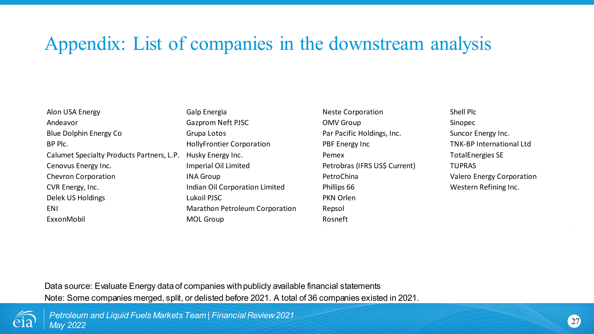### Appendix: List of companies in the downstream analysis

| Alon USA Energy                           | Galp Energia                     | <b>Neste Corporation</b>      | Shell Plo     |
|-------------------------------------------|----------------------------------|-------------------------------|---------------|
| Andeavor                                  | Gazprom Neft PJSC                | OMV Group                     | Sinopec       |
| Blue Dolphin Energy Co                    | Grupa Lotos                      | Par Pacific Holdings, Inc.    | Suncor        |
| BP Plc.                                   | <b>HollyFrontier Corporation</b> | PBF Energy Inc                | TNK-BP        |
| Calumet Specialty Products Partners, L.P. | Husky Energy Inc.                | Pemex                         | TotalEn       |
| Cenovus Energy Inc.                       | Imperial Oil Limited             | Petrobras (IFRS US\$ Current) | <b>TUPRAS</b> |
| Chevron Corporation                       | <b>INA Group</b>                 | PetroChina                    | Valero I      |
| CVR Energy, Inc.                          | Indian Oil Corporation Limited   | Phillips 66                   | Wester        |
| Delek US Holdings                         | Lukoil PJSC                      | PKN Orlen                     |               |
| ENI                                       | Marathon Petroleum Corporation   | Repsol                        |               |
| ExxonMobil                                | MOL Group                        | Rosneft                       |               |

Neste Corporation Shell Plc Par Pacific Holdings, Inc. Suncor Energy Inc. **BRET Energy Inc. And TNK-BP International Ltd.** TNK-BP International Ltd nc. Calumet Specialty Pemex Total Energies SE nited **Petrobras (IFRS US\$ Current)** TUPRAS PetroChina **Inc.** Corporation Inc. Corporation Valero Energy Corporation oration Limited **Energy, Inc. Inc.** Phillips 66 Western Refining Inc.

Data source: Evaluate Energy data of companies with publicly available financial statements Note: Some companies merged, split, or delisted before 2021. A total of 36 companies existed in 2021.



*Petroleum and Liquid Fuels Markets Team | Financial Review 2021 May 2022*

 $\mathcal{A}$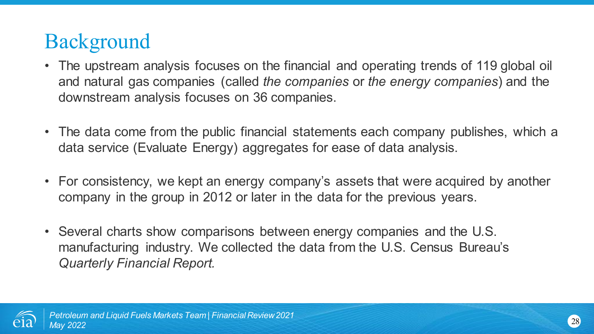## Background

- The upstream analysis focuses on the financial and operating trends of 119 global oil and natural gas companies (called *the companies* or *the energy companies*) and the downstream analysis focuses on 36 companies.
- The data come from the public financial statements each company publishes, which a data service (Evaluate Energy) aggregates for ease of data analysis.
- For consistency, we kept an energy company's assets that were acquired by another company in the group in 2012 or later in the data for the previous years.
- Several charts show comparisons between energy companies and the U.S. manufacturing industry. We collected the data from the U.S. Census Bureau's *Quarterly Financial Report.*

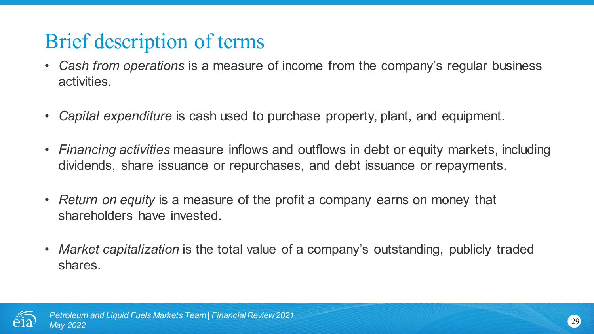## Brief description of terms

- *Cash from operations* is a measure of income from the company's regular business activities.
- *Capital expenditure* is cash used to purchase property, plant, and equipment.
- *Financing activities* measure inflows and outflows in debt or equity markets, including dividends, share issuance or repurchases, and debt issuance or repayments.
- *Return on equity* is a measure of the profit a company earns on money that shareholders have invested.
- *Market capitalization* is the total value of a company's outstanding, publicly traded shares.

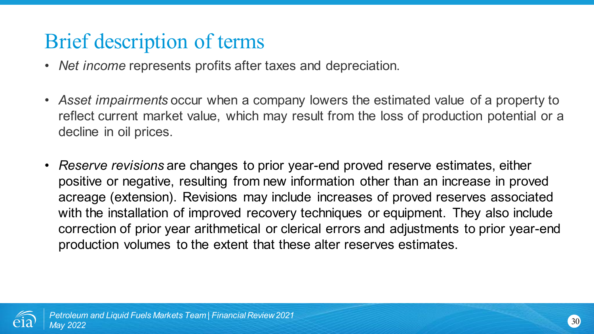## Brief description of terms

- *Net income* represents profits after taxes and depreciation.
- *Asset impairments* occur when a company lowers the estimated value of a property to reflect current market value, which may result from the loss of production potential or a decline in oil prices.
- *Reserve revisions* are changes to prior year-end proved reserve estimates, either positive or negative, resulting from new information other than an increase in proved acreage (extension). Revisions may include increases of proved reserves associated with the installation of improved recovery techniques or equipment. They also include correction of prior year arithmetical or clerical errors and adjustments to prior year-end production volumes to the extent that these alter reserves estimates.